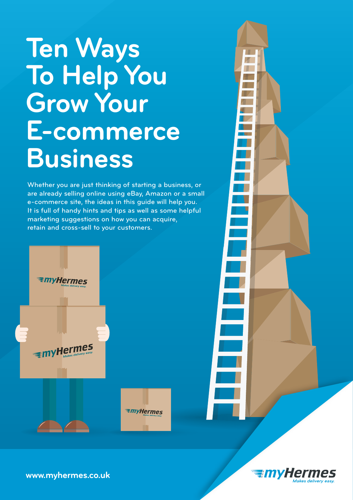# **Ten Ways To Help You Grow Your E-commerce Business**

Whether you are just thinking of starting a business, or are already selling online using eBay, Amazon or a small e-commerce site, the ideas in this guide will help you. It is full of handy hints and tips as well as some helpful marketing suggestions on how you can acquire, retain and cross-sell to your customers.



**EmyHermes** 





**www.myhermes.co.uk**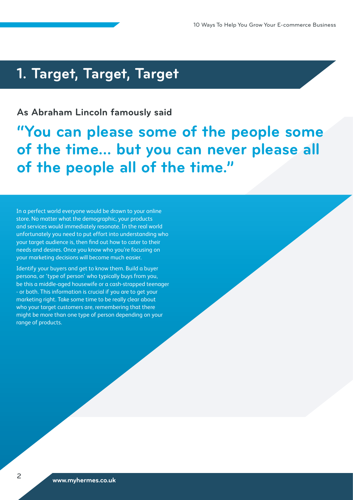### **1. Target, Target, Target**

### **As Abraham Lincoln famously said**

**"You can please some of the people some of the time… but you can never please all of the people all of the time."**

In a perfect world everyone would be drawn to your online store. No matter what the demographic, your products and services would immediately resonate. In the real world unfortunately you need to put effort into understanding who your target audience is, then find out how to cater to their needs and desires. Once you know who you're focusing on your marketing decisions will become much easier.

Identify your buyers and get to know them. Build a buyer persona, or 'type of person' who typically buys from you, be this a middle-aged housewife or a cash-strapped teenager - or both. This information is crucial if you are to get your marketing right. Take some time to be really clear about who your target customers are, remembering that there might be more than one type of person depending on your range of products.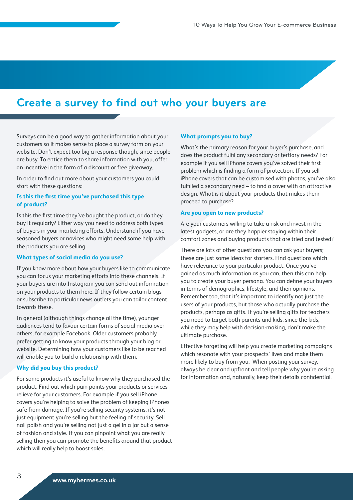### **Create a survey to find out who your buyers are**

Surveys can be a good way to gather information about your customers so it makes sense to place a survey form on your website. Don't expect too big a response though, since people are busy. To entice them to share information with you, offer an incentive in the form of a discount or free giveaway.

In order to find out more about your customers you could start with these questions:

### **Is this the first time you've purchased this type of product?**

Is this the first time they've bought the product, or do they buy it regularly? Either way you need to address both types of buyers in your marketing efforts. Understand if you have seasoned buyers or novices who might need some help with the products you are selling.

### **What types of social media do you use?**

If you know more about how your buyers like to communicate you can focus your marketing efforts into these channels. If your buyers are into Instagram you can send out information on your products to them here. If they follow certain blogs or subscribe to particular news outlets you can tailor content towards these.

In general (although things change all the time), younger audiences tend to favour certain forms of social media over others, for example Facebook. Older customers probably prefer getting to know your products through your blog or website. Determining how your customers like to be reached will enable you to build a relationship with them.

### **Why did you buy this product?**

For some products it's useful to know why they purchased the product. Find out which pain points your products or services relieve for your customers. For example if you sell iPhone covers you're helping to solve the problem of keeping iPhones safe from damage. If you're selling security systems, it's not just equipment you're selling but the feeling of security. Sell nail polish and you're selling not just a gel in a jar but a sense of fashion and style. If you can pinpoint what you are really selling then you can promote the benefits around that product which will really help to boost sales.

### **What prompts you to buy?**

What's the primary reason for your buyer's purchase, and does the product fulfil any secondary or tertiary needs? For example if you sell iPhone covers you've solved their first problem which is finding a form of protection. If you sell iPhone covers that can be customised with photos, you've also fulfilled a secondary need – to find a cover with an attractive design. What is it about your products that makes them proceed to purchase?

#### **Are you open to new products?**

Are your customers willing to take a risk and invest in the latest gadgets, or are they happier staying within their comfort zones and buying products that are tried and tested?

There are lots of other questions you can ask your buyers; these are just some ideas for starters. Find questions which have relevance to your particular product. Once you've gained as much information as you can, then this can help you to create your buyer persona. You can define your buyers in terms of demographics, lifestyle, and their opinions. Remember too, that it's important to identify not just the users of your products, but those who actually purchase the products, perhaps as gifts. If you're selling gifts for teachers you need to target both parents and kids, since the kids, while they may help with decision-making, don't make the ultimate purchase.

Effective targeting will help you create marketing campaigns which resonate with your prospects' lives and make them more likely to buy from you. When posting your survey, always be clear and upfront and tell people why you're asking for information and, naturally, keep their details confidential.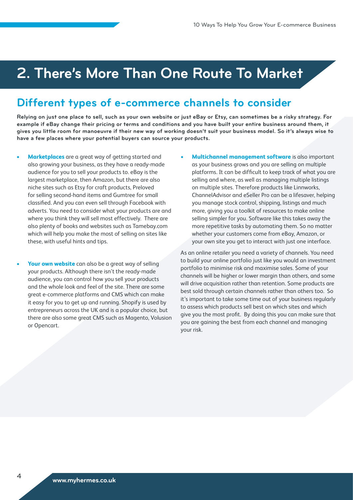### **2. There's More Than One Route To Market**

### **Different types of e-commerce channels to consider**

**Relying on just one place to sell, such as your own website or just eBay or Etsy, can sometimes be a risky strategy. For example if eBay change their pricing or terms and conditions and you have built your entire business around them, it gives you little room for manoeuvre if their new way of working doesn't suit your business model. So it's always wise to have a few places where your potential buyers can source your products.**

- **Marketplaces** are a great way of getting started and also growing your business, as they have a ready-made audience for you to sell your products to. eBay is the largest marketplace, then Amazon, but there are also niche sites such as Etsy for craft products, Preloved for selling second-hand items and Gumtree for small classified. And you can even sell through Facebook with adverts. You need to consider what your products are and where you think they will sell most effectively. There are also plenty of books and websites such as Tamebay.com which will help you make the most of selling on sites like these, with useful hints and tips.
- **Your own website** can also be a great way of selling your products. Although there isn't the ready-made audience, you can control how you sell your products and the whole look and feel of the site. There are some great e-commerce platforms and CMS which can make it easy for you to get up and running. Shopify is used by entrepreneurs across the UK and is a popular choice, but there are also some great CMS such as Magento, Volusion or Opencart.
- **Multichannel management software** is also important as your business grows and you are selling on multiple platforms. It can be difficult to keep track of what you are selling and where, as well as managing multiple listings on multiple sites. Therefore products like Linnworks, ChannelAdvisor and eSeller Pro can be a lifesaver, helping you manage stock control, shipping, listings and much more, giving you a toolkit of resources to make online selling simpler for you. Software like this takes away the more repetitive tasks by automating them. So no matter whether your customers come from eBay, Amazon, or your own site you get to interact with just one interface.

As an online retailer you need a variety of channels. You need to build your online portfolio just like you would an investment portfolio to minimise risk and maximise sales. Some of your channels will be higher or lower margin than others, and some will drive acquisition rather than retention. Some products are best sold through certain channels rather than others too. So it's important to take some time out of your business regularly to assess which products sell best on which sites and which give you the most profit. By doing this you can make sure that you are gaining the best from each channel and managing your risk.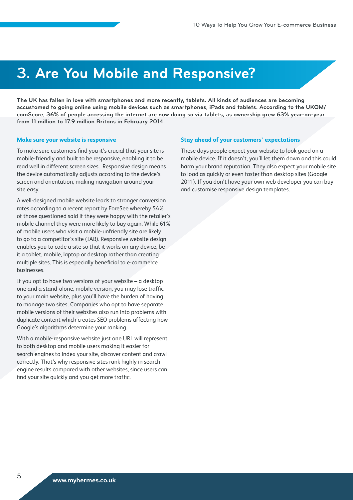### **3. Are You Mobile and Responsive?**

**The UK has fallen in love with smartphones and more recently, tablets. All kinds of audiences are becoming accustomed to going online using mobile devices such as smartphones, iPads and tablets. According to the UKOM/ comScore, 36% of people accessing the internet are now doing so via tablets, as ownership grew 63% year-on-year from 11 million to 17.9 million Britons in February 2014.**

#### **Make sure your website is responsive**

To make sure customers find you it's crucial that your site is mobile-friendly and built to be responsive, enabling it to be read well in different screen sizes. Responsive design means the device automatically adjusts according to the device's screen and orientation, making navigation around your site easy.

A well-designed mobile website leads to stronger conversion rates according to a recent report by ForeSee whereby 54% of those questioned said if they were happy with the retailer's mobile channel they were more likely to buy again. While 61% of mobile users who visit a mobile-unfriendly site are likely to go to a competitor's site (IAB). Responsive website design enables you to code a site so that it works on any device, be it a tablet, mobile, laptop or desktop rather than creating multiple sites. This is especially beneficial to e-commerce businesses.

If you opt to have two versions of your website  $-$  a desktop one and a stand-alone, mobile version, you may lose traffic to your main website, plus you'll have the burden of having to manage two sites. Companies who opt to have separate mobile versions of their websites also run into problems with duplicate content which creates SEO problems affecting how Google's algorithms determine your ranking.

With a mobile-responsive website just one URL will represent to both desktop and mobile users making it easier for search engines to index your site, discover content and crawl correctly. That's why responsive sites rank highly in search engine results compared with other websites, since users can find your site quickly and you get more traffic.

#### **Stay ahead of your customers' expectations**

These days people expect your website to look good on a mobile device. If it doesn't, you'll let them down and this could harm your brand reputation. They also expect your mobile site to load as quickly or even faster than desktop sites (Google 2011). If you don't have your own web developer you can buy and customise responsive design templates.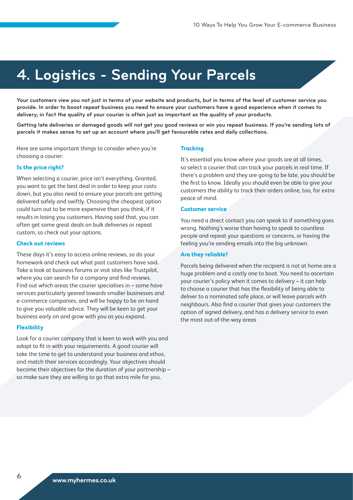## **4. Logistics - Sending Your Parcels**

**Your customers view you not just in terms of your website and products, but in terms of the level of customer service you provide. In order to boost repeat business you need to ensure your customers have a good experience when it comes to delivery; in fact the quality of your courier is often just as important as the quality of your products.** 

**Getting late deliveries or damaged goods will not get you good reviews or win you repeat business. If you're sending lots of parcels it makes sense to set up an account where you'll get favourable rates and daily collections.**

Here are some important things to consider when you're choosing a courier:

### **Is the price right?**

When selecting a courier, price isn't everything. Granted, you want to get the best deal in order to keep your costs down, but you also need to ensure your parcels are getting delivered safely and swiftly. Choosing the cheapest option could turn out to be more expensive than you think, if it results in losing you customers. Having said that, you can often get some great deals on bulk deliveries or repeat custom, so check out your options.

### **Check out reviews**

These days it's easy to access online reviews, so do your homework and check out what past customers have said. Take a look at business forums or visit sites like Trustpilot, where you can search for a company and find reviews. Find out which areas the courier specialises in – some have services particularly geared towards smaller businesses and e-commerce companies, and will be happy to be on hand to give you valuable advice. They will be keen to get your business early on and grow with you as you expand.

### **Flexibility**

Look for a courier company that is keen to work with you and adapt to fit in with your requirements. A good courier will take the time to get to understand your business and ethos, and match their services accordingly. Your objectives should become their objectives for the duration of your partnership – so make sure they are willing to go that extra mile for you.

#### **Tracking**

It's essential you know where your goods are at all times, so select a courier that can track your parcels in real time. If there's a problem and they are going to be late, you should be the first to know. Ideally you should even be able to give your customers the ability to track their orders online, too, for extra peace of mind.

### **Customer service**

You need a direct contact you can speak to if something goes wrong. Nothing's worse than having to speak to countless people and repeat your questions or concerns, or having the feeling you're sending emails into the big unknown.

#### **Are they reliable?**

Parcels being delivered when the recipient is not at home are a huge problem and a costly one to boot. You need to ascertain your courier's policy when it comes to delivery – it can help to choose a courier that has the flexibility of being able to deliver to a nominated safe place, or will leave parcels with neighbours. Also find a courier that gives your customers the option of signed delivery, and has a delivery service to even the most out-of-the-way areas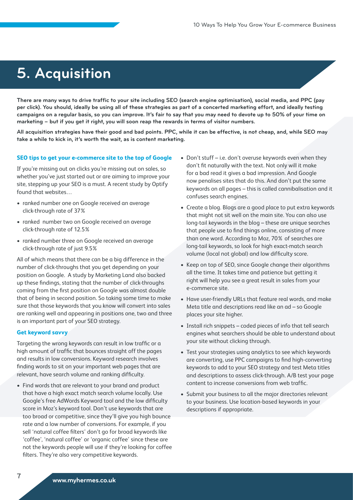### **5. Acquisition**

**There are many ways to drive traffic to your site including SEO (search engine optimisation), social media, and PPC (pay per click). You should, ideally be using all of these strategies as part of a concerted marketing effort, and ideally testing campaigns on a regular basis, so you can improve. It's fair to say that you may need to devote up to 50% of your time on marketing – but if you get it right, you will soon reap the rewards in terms of visitor numbers.**

**All acquisition strategies have their good and bad points. PPC, while it can be effective, is not cheap, and, while SEO may take a while to kick in, it's worth the wait, as is content marketing.**

#### **SEO tips to get your e-commerce site to the top of Google**

If you're missing out on clicks you're missing out on sales, so whether you've just started out or are aiming to improve your site, stepping up your SEO is a must. A recent study by Optify found that websites…

- ranked number one on Google received an average click-through rate of 37%
- ranked number two on Google received an average click-through rate of 12.5%
- ranked number three on Google received an average click-through rate of just 9.5%

All of which means that there can be a big difference in the number of click-throughs that you get depending on your position on Google. A study by Marketing Land also backed up these findings, stating that the number of click-throughs coming from the first position on Google was almost double that of being in second position. So taking some time to make sure that those keywords that you know will convert into sales are ranking well and appearing in positions one, two and three is an important part of your SEO strategy.

### **Get keyword savvy**

Targeting the wrong keywords can result in low traffic or a high amount of traffic that bounces straight off the pages and results in low conversions. Keyword research involves finding words to sit on your important web pages that are relevant, have search volume and ranking difficulty.

• Find words that are relevant to your brand and product that have a high exact match search volume locally. Use Google's free AdWords Keyword tool and the low difficulty score in Moz's keyword tool. Don't use keywords that are too broad or competitive, since they'll give you high bounce rate and a low number of conversions. For example, if you sell 'natural coffee filters' don't go for broad keywords like 'coffee', 'natural coffee' or 'organic coffee' since these are not the keywords people will use if they're looking for coffee filters. They're also very competitive keywords.

- Don't stuff i.e. don't overuse keywords even when they don't fit naturally with the text. Not only will it make for a bad read it gives a bad impression. And Google now penalises sites that do this. And don't put the same keywords on all pages – this is called cannibalisation and it confuses search engines.
- Create a blog. Blogs are a good place to put extra keywords that might not sit well on the main site. You can also use long-tail keywords in the blog – these are unique searches that people use to find things online, consisting of more than one word. According to Moz, 70% of searches are long-tail keywords, so look for high exact-match search volume (local not global) and low difficulty score.
- Keep on top of SEO, since Google change their algorithms all the time. It takes time and patience but getting it right will help you see a great result in sales from your e-commerce site.
- Have user-friendly URLs that feature real words, and make Meta title and descriptions read like an ad – so Google places your site higher.
- Install rich snippets coded pieces of info that tell search engines what searchers should be able to understand about your site without clicking through.
- Test your strategies using analytics to see which keywords are converting, use PPC campaigns to find high-converting keywords to add to your SEO strategy and test Meta titles and descriptions to assess click-through. A/B test your page content to increase conversions from web traffic.
- Submit your business to all the major directories relevant to your business. Use location-based keywords in your descriptions if appropriate.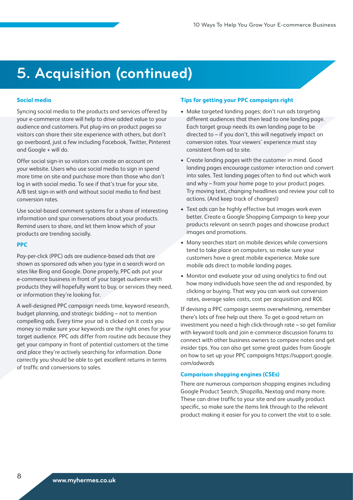# **5. Acquisition (continued)**

### **Social media**

Syncing social media to the products and services offered by your e-commerce store will help to drive added value to your audience and customers. Put plug-ins on product pages so visitors can share their site experience with others, but don't go overboard, just a few including Facebook, Twitter, Pinterest and Google + will do.

Offer social sign-in so visitors can create an account on your website. Users who use social media to sign in spend more time on site and purchase more than those who don't log in with social media. To see if that's true for your site, A/B test sign-in with and without social media to find best conversion rates.

Use social-based comment systems for a share of interesting information and spur conversations about your products. Remind users to share, and let them know which of your products are trending socially.

### **PPC**

Pay-per-click (PPC) ads are audience-based ads that are shown as sponsored ads when you type in a search word on sites like Bing and Google. Done properly, PPC ads put your e-commerce business in front of your target audience with products they will hopefully want to buy, or services they need, or information they're looking for.

A well-designed PPC campaign needs time, keyword research, budget planning, and strategic bidding – not to mention compelling ads. Every time your ad is clicked on it costs you money so make sure your keywords are the right ones for your target audience. PPC ads differ from routine ads because they get your company in front of potential customers at the time and place they're actively searching for information. Done correctly you should be able to get excellent returns in terms of traffic and conversions to sales.

### **Tips for getting your PPC campaigns right**

- Make targeted landing pages; don't run ads targeting different audiences that then lead to one landing page. Each target group needs its own landing page to be directed to – if you don't, this will negatively impact on conversion rates. Your viewers' experience must stay consistent from ad to site.
- Create landing pages with the customer in mind. Good landing pages encourage customer interaction and convert into sales. Test landing pages often to find out which work and why – from your home page to your product pages. Try moving text, changing headlines and review your call to actions. (And keep track of changes!)
- Text ads can be highly effective but images work even better. Create a Google Shopping Campaign to keep your products relevant on search pages and showcase product images and promotions.
- • Many searches start on mobile devices while conversions tend to take place on computers, so make sure your customers have a great mobile experience. Make sure mobile ads direct to mobile landing pages.
- • Monitor and evaluate your ad using analytics to find out how many individuals have seen the ad and responded, by clicking or buying. That way you can work out conversion rates, average sales costs, cost per acquisition and ROI.

If devising a PPC campaign seems overwhelming, remember there's lots of free help out there. To get a good return on investment you need a high click-through rate – so get familiar with keyword tools and join e-commerce discussion forums to connect with other business owners to compare notes and get insider tips. You can also get some great guides from Google on how to set up your PPC campaigns https://support.google. com/adwords

### **Comparison shopping engines (CSEs)**

There are numerous comparison shopping engines including Google Product Search, Shopzilla, Nextag and many more. These can drive traffic to your site and are usually product specific, so make sure the items link through to the relevant product making it easier for you to convert the visit to a sale.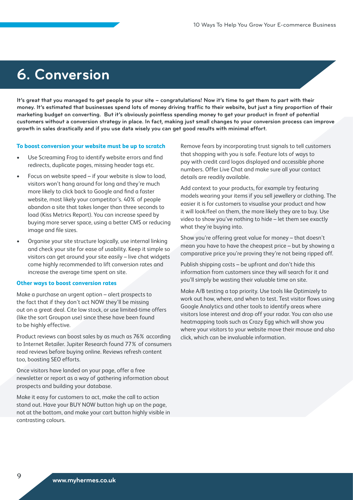### **6. Conversion**

**It's great that you managed to get people to your site – congratulations! Now it's time to get them to part with their money. It's estimated that businesses spend lots of money driving traffic to their website, but just a tiny proportion of their marketing budget on converting. But it's obviously pointless spending money to get your product in front of potential customers without a conversion strategy in place. In fact, making just small changes to your conversion process can improve growth in sales drastically and if you use data wisely you can get good results with minimal effort.**

#### **To boost conversion your website must be up to scratch**

- Use Screaming Frog to identify website errors and find redirects, duplicate pages, missing header tags etc.
- Focus on website speed  $-$  if your website is slow to load, visitors won't hang around for long and they're much more likely to click back to Google and find a faster website, most likely your competitor's. 40% of people abandon a site that takes longer than three seconds to load (Kiss Metrics Report). You can increase speed by buying more server space, using a better CMS or reducing image and file sizes.
- Organise your site structure logically, use internal linking and check your site for ease of usability. Keep it simple so visitors can get around your site easily – live chat widgets come highly recommended to lift conversion rates and increase the average time spent on site.

### **Other ways to boost conversion rates**

Make a purchase an urgent option – alert prospects to the fact that if they don't act NOW they'll be missing out on a great deal. Cite low stock, or use limited-time offers (like the sort Groupon use) since these have been found to be highly effective.

Product reviews can boost sales by as much as 76% according to Internet Retailer. Jupiter Research found 77% of consumers read reviews before buying online. Reviews refresh content too, boosting SEO efforts.

Once visitors have landed on your page, offer a free newsletter or report as a way of gathering information about prospects and building your database.

Make it easy for customers to act, make the call to action stand out. Have your BUY NOW button high up on the page, not at the bottom, and make your cart button highly visible in contrasting colours.

Remove fears by incorporating trust signals to tell customers that shopping with you is safe. Feature lots of ways to pay with credit card logos displayed and accessible phone numbers. Offer Live Chat and make sure all your contact details are readily available.

Add context to your products, for example try featuring models wearing your items if you sell jewellery or clothing. The easier it is for customers to visualise your product and how it will look/feel on them, the more likely they are to buy. Use video to show you've nothing to hide – let them see exactly what they're buying into.

Show you're offering great value for money – that doesn't mean you have to have the cheapest price – but by showing a comparative price you're proving they're not being ripped off.

Publish shipping costs – be upfront and don't hide this information from customers since they will search for it and you'll simply be wasting their valuable time on site.

Make A/B testing a top priority. Use tools like Optimizely to work out how, where, and when to test. Test visitor flows using Google Analytics and other tools to identify areas where visitors lose interest and drop off your radar. You can also use heatmapping tools such as Crazy Egg which will show you where your visitors to your website move their mouse and also click, which can be invaluable information.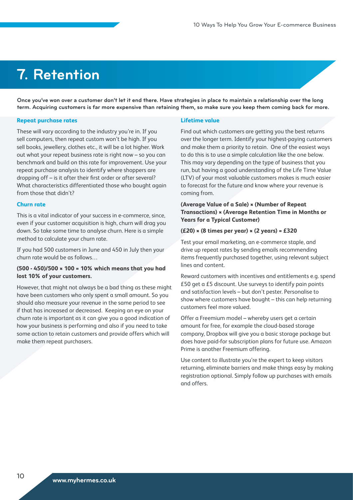## **7. Retention**

**Once you've won over a customer don't let it end there. Have strategies in place to maintain a relationship over the long term. Acquiring customers is far more expensive than retaining them, so make sure you keep them coming back for more.**

#### **Repeat purchase rates**

These will vary according to the industry you're in. If you sell computers, then repeat custom won't be high. If you sell books, jewellery, clothes etc., it will be a lot higher. Work out what your repeat business rate is right now – so you can benchmark and build on this rate for improvement. Use your repeat purchase analysis to identify where shoppers are dropping off – is it after their first order or after several? What characteristics differentiated those who bought again from those that didn't?

#### **Churn rate**

This is a vital indicator of your success in e-commerce, since, even if your customer acquisition is high, churn will drag you down. So take some time to analyse churn. Here is a simple method to calculate your churn rate.

If you had 500 customers in June and 450 in July then your churn rate would be as follows…

### **(500 - 450)/500 × 100 = 10% which means that you had lost 10% of your customers.**

However, that might not always be a bad thing as these might have been customers who only spent a small amount. So you should also measure your revenue in the same period to see if that has increased or decreased. Keeping an eye on your churn rate is important as it can give you a good indication of how your business is performing and also if you need to take some action to retain customers and provide offers which will make them repeat purchasers.

#### **Lifetime value**

Find out which customers are getting you the best returns over the longer term. Identify your highest-paying customers and make them a priority to retain. One of the easiest ways to do this is to use a simple calculation like the one below. This may vary depending on the type of business that you run, but having a good understanding of the Life Time Value (LTV) of your most valuable customers makes is much easier to forecast for the future and know where your revenue is coming from.

### **(Average Value of a Sale) × (Number of Repeat Transactions) × (Average Retention Time in Months or Years for a Typical Customer)**

### **(£20) × (8 times per year) × (2 years) = £320**

Test your email marketing, an e-commerce staple, and drive up repeat rates by sending emails recommending items frequently purchased together, using relevant subject lines and content.

Reward customers with incentives and entitlements e.g. spend £50 get a £5 discount. Use surveys to identify pain points and satisfaction levels – but don't pester. Personalise to show where customers have bought – this can help returning customers feel more valued.

Offer a Freemium model – whereby users get a certain amount for free, for example the cloud-based storage company, Dropbox will give you a basic storage package but does have paid-for subscription plans for future use. Amazon Prime is another Freemium offering.

Use content to illustrate you're the expert to keep visitors returning, eliminate barriers and make things easy by making registration optional. Simply follow up purchases with emails and offers.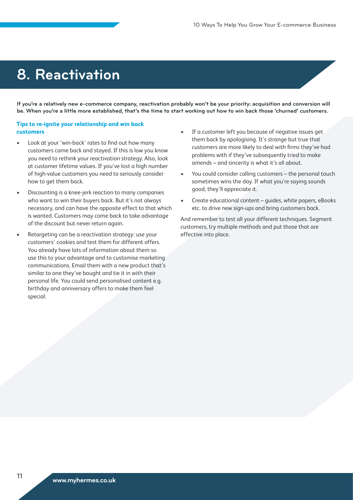### **8. Reactivation**

**If you're a relatively new e-commerce company, reactivation probably won't be your priority: acquisition and conversion will be. When you're a little more established, that's the time to start working out how to win back those 'churned' customers.** 

### **Tips to re-ignite your relationship and win back customers**

- Look at your 'win-back' rates to find out how many customers came back and stayed. If this is low you know you need to rethink your reactivation strategy. Also, look at customer lifetime values. If you've lost a high number of high-value customers you need to seriously consider how to get them back.
- Discounting is a knee-jerk reaction to many companies who want to win their buyers back. But it's not always necessary, and can have the opposite effect to that which is wanted. Customers may come back to take advantage of the discount but never return again.
- Retargeting can be a reactivation strategy: use your customers' cookies and test them for different offers. You already have lots of information about them so use this to your advantage and to customise marketing communications. Email them with a new product that's similar to one they've bought and tie it in with their personal life. You could send personalised content e.g. birthday and anniversary offers to make them feel special.
- If a customer left you because of negative issues get them back by apologising. It's strange but true that customers are more likely to deal with firms they've had problems with if they've subsequently tried to make amends – and sincerity is what it's all about.
- You could consider calling customers the personal touch sometimes wins the day. If what you're saying sounds good, they'll appreciate it.
- Create educational content guides, white papers, eBooks etc. to drive new sign-ups and bring customers back.

And remember to test all your different techniques. Segment customers, try multiple methods and put those that are effective into place.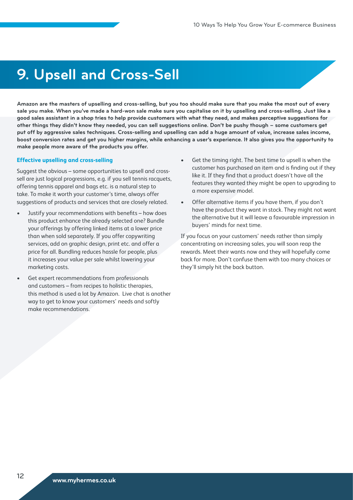### **9. Upsell and Cross-Sell**

**Amazon are the masters of upselling and cross-selling, but you too should make sure that you make the most out of every sale you make. When you've made a hard-won sale make sure you capitalise on it by upselling and cross-selling. Just like a good sales assistant in a shop tries to help provide customers with what they need, and makes perceptive suggestions for other things they didn't know they needed, you can sell suggestions online. Don't be pushy though – some customers get put off by aggressive sales techniques. Cross-selling and upselling can add a huge amount of value, increase sales income, boost conversion rates and get you higher margins, while enhancing a user's experience. It also gives you the opportunity to make people more aware of the products you offer.** 

### **Effective upselling and cross-selling**

Suggest the obvious – some opportunities to upsell and crosssell are just logical progressions, e.g. if you sell tennis racquets, offering tennis apparel and bags etc. is a natural step to take. To make it worth your customer's time, always offer suggestions of products and services that are closely related.

- Justify your recommendations with benefits how does this product enhance the already selected one? Bundle your offerings by offering linked items at a lower price than when sold separately. If you offer copywriting services, add on graphic design, print etc. and offer a price for all. Bundling reduces hassle for people, plus it increases your value per sale whilst lowering your marketing costs.
- Get expert recommendations from professionals and customers – from recipes to holistic therapies, this method is used a lot by Amazon. Live chat is another way to get to know your customers' needs and softly make recommendations.
- Get the timing right. The best time to upsell is when the customer has purchased an item and is finding out if they like it. If they find that a product doesn't have all the features they wanted they might be open to upgrading to a more expensive model.
- Offer alternative items if you have them, if you don't have the product they want in stock. They might not want the alternative but it will leave a favourable impression in buyers' minds for next time.

If you focus on your customers' needs rather than simply concentrating on increasing sales, you will soon reap the rewards. Meet their wants now and they will hopefully come back for more. Don't confuse them with too many choices or they'll simply hit the back button.